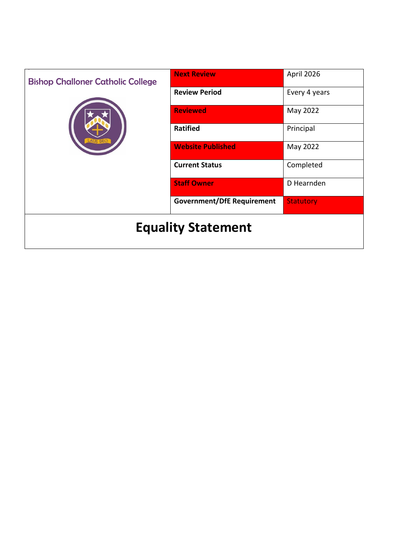| <b>Bishop Challoner Catholic College</b> | <b>Next Review</b>                | April 2026       |
|------------------------------------------|-----------------------------------|------------------|
| <b>AUS DEO</b>                           | <b>Review Period</b>              | Every 4 years    |
|                                          | <b>Reviewed</b>                   | May 2022         |
|                                          | <b>Ratified</b>                   | Principal        |
|                                          | <b>Website Published</b>          | May 2022         |
|                                          | <b>Current Status</b>             | Completed        |
|                                          | <b>Staff Owner</b>                | D Hearnden       |
|                                          | <b>Government/DfE Requirement</b> | <b>Statutory</b> |
| <b>Equality Statement</b>                |                                   |                  |